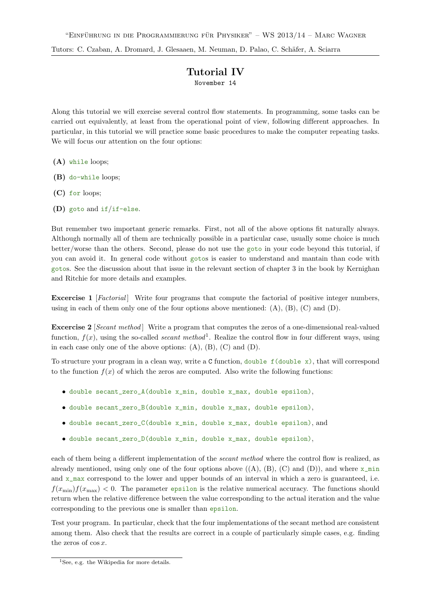## Tutorial IV

November 14

Along this tutorial we will exercise several control flow statements. In programming, some tasks can be carried out equivalently, at least from the operational point of view, following different approaches. In particular, in this tutorial we will practice some basic procedures to make the computer repeating tasks. We will focus our attention on the four options:

- (A) while loops;
- (B) do-while loops;
- (C) for loops;
- (D) goto and if/if-else.

But remember two important generic remarks. First, not all of the above options fit naturally always. Although normally all of them are technically possible in a particular case, usually some choice is much better/worse than the others. Second, please do not use the goto in your code beyond this tutorial, if you can avoid it. In general code without gotos is easier to understand and mantain than code with gotos. See the discussion about that issue in the relevant section of chapter 3 in the book by Kernighan and Ritchie for more details and examples.

**Excercise 1** [Factorial] Write four programs that compute the factorial of positive integer numbers, using in each of them only one of the four options above mentioned:  $(A)$ ,  $(B)$ ,  $(C)$  and  $(D)$ .

Excercise 2 [Secant method] Write a program that computes the zeros of a one-dimensional real-valued function,  $f(x)$ , using the so-called *secant method*<sup>1</sup>. Realize the control flow in four different ways, using in each case only one of the above options:  $(A)$ ,  $(B)$ ,  $(C)$  and  $(D)$ .

To structure your program in a clean way, write a  $C$  function, double  $f$  (double x), that will correspond to the function  $f(x)$  of which the zeros are computed. Also write the following functions:

- double secant\_zero\_A(double x\_min, double x\_max, double epsilon),
- double secant\_zero\_B(double x\_min, double x\_max, double epsilon),
- double secant\_zero\_C(double x\_min, double x\_max, double epsilon), and
- double secant\_zero\_D(double x\_min, double x\_max, double epsilon),

each of them being a different implementation of the *secant method* where the control flow is realized, as already mentioned, using only one of the four options above  $((A), (B), (C)$  and  $(D))$ , and where  $x_{\min}$ and  $x$ <sub>max</sub> correspond to the lower and upper bounds of an interval in which a zero is guaranteed, i.e.  $f(x_{\min})f(x_{\max})$  < 0. The parameter epsilon is the relative numerical accuracy. The functions should return when the relative difference between the value corresponding to the actual iteration and the value corresponding to the previous one is smaller than epsilon.

Test your program. In particular, check that the four implementations of the secant method are consistent among them. Also check that the results are correct in a couple of particularly simple cases, e.g. finding the zeros of  $\cos x$ .

<sup>&</sup>lt;sup>1</sup>See, e.g. the Wikipedia for more details.